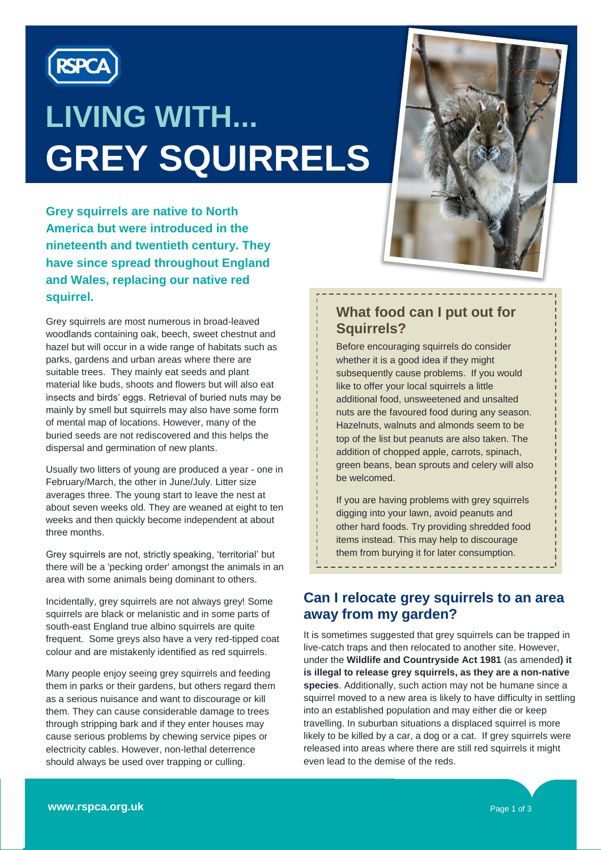

# **LIVING WITH... GREY SQUIRRELS**

**Grey squirrels are native to North America but were introduced in the nineteenth and twentieth century. They have since spread throughout England and Wales, replacing our native red squirrel.** 

Grey squirrels are most numerous in broad-leaved woodlands containing oak, beech, sweet chestnut and hazel but will occur in a wide range of habitats such as parks, gardens and urban areas where there are suitable trees. They mainly eat seeds and plant material like buds, shoots and flowers but will also eat insects and birds' eggs. Retrieval of buried nuts may be mainly by smell but squirrels may also have some form of mental map of locations. However, many of the buried seeds are not rediscovered and this helps the dispersal and germination of new plants.

Usually two litters of young are produced a year - one in February/March, the other in June/July. Litter size averages three. The young start to leave the nest at about seven weeks old. They are weaned at eight to ten weeks and then quickly become independent at about three months.

Grey squirrels are not, strictly speaking, 'territorial' but there will be a 'pecking order' amongst the animals in an area with some animals being dominant to others.

Incidentally, grey squirrels are not always grey! Some squirrels are black or melanistic and in some parts of south-east England true albino squirrels are quite frequent. Some greys also have a very red-tipped coat colour and are mistakenly identified as red squirrels.

Many people enjoy seeing grey squirrels and feeding them in parks or their gardens, but others regard them as a serious nuisance and want to discourage or kill them. They can cause considerable damage to trees through stripping bark and if they enter houses may cause serious problems by chewing service pipes or electricity cables. However, non-lethal deterrence should always be used over trapping or culling.



#### **What food can I put out for Squirrels?**

Before encouraging squirrels do consider whether it is a good idea if they might subsequently cause problems. If you would like to offer your local squirrels a little additional food, unsweetened and unsalted nuts are the favoured food during any season. Hazelnuts, walnuts and almonds seem to be top of the list but peanuts are also taken. The addition of chopped apple, carrots, spinach, green beans, bean sprouts and celery will also be welcomed.

If you are having problems with grey squirrels digging into your lawn, avoid peanuts and other hard foods. Try providing shredded food items instead. This may help to discourage them from burying it for later consumption.

\_\_\_\_\_\_\_\_\_\_\_\_\_\_\_\_\_\_\_\_\_\_

#### **Can I relocate grey squirrels to an area away from my garden?**

It is sometimes suggested that grey squirrels can be trapped in live-catch traps and then relocated to another site. However, under the **Wildlife and Countryside Act 1981** (as amended**) it is illegal to release grey squirrels, as they are a non-native species**. Additionally, such action may not be humane since a squirrel moved to a new area is likely to have difficulty in settling into an established population and may either die or keep travelling. In suburban situations a displaced squirrel is more likely to be killed by a car, a dog or a cat. If grey squirrels were released into areas where there are still red squirrels it might even lead to the demise of the reds.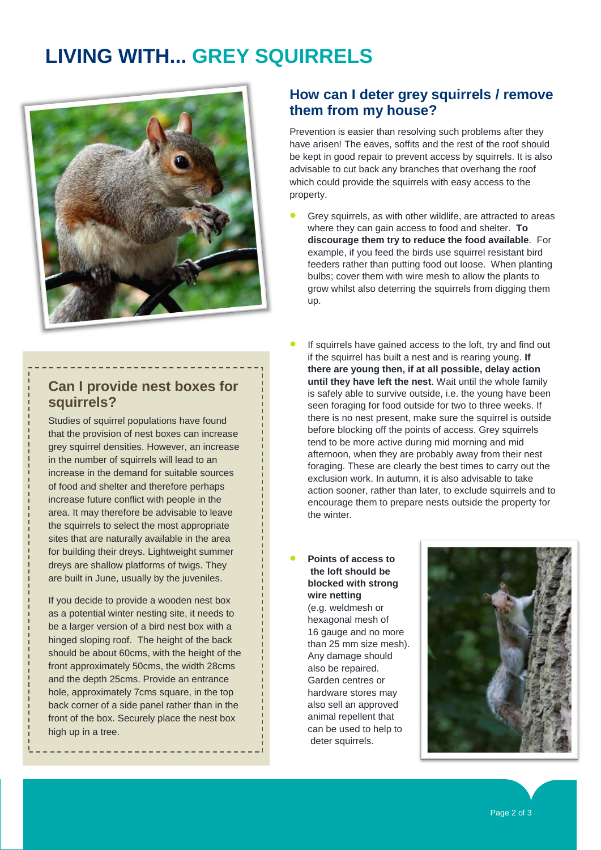### **LIVING WITH... GREY SQUIRRELS**



#### **How can I deter grey squirrels / remove them from my house?**

Prevention is easier than resolving such problems after they have arisen! The eaves, soffits and the rest of the roof should be kept in good repair to prevent access by squirrels. It is also advisable to cut back any branches that overhang the roof which could provide the squirrels with easy access to the property.

 Grey squirrels, as with other wildlife, are attracted to areas where they can gain access to food and shelter. **To discourage them try to reduce the food available**. For example, if you feed the birds use squirrel resistant bird feeders rather than putting food out loose. When planting bulbs; cover them with wire mesh to allow the plants to grow whilst also deterring the squirrels from digging them up.

**Can I provide nest boxes for squirrels?**

Studies of squirrel populations have found that the provision of nest boxes can increase grey squirrel densities. However, an increase in the number of squirrels will lead to an increase in the demand for suitable sources of food and shelter and therefore perhaps increase future conflict with people in the area. It may therefore be advisable to leave the squirrels to select the most appropriate sites that are naturally available in the area for building their dreys. Lightweight summer dreys are shallow platforms of twigs. They are built in June, usually by the juveniles.

If you decide to provide a wooden nest box as a potential winter nesting site, it needs to be a larger version of a bird nest box with a hinged sloping roof. The height of the back should be about 60cms, with the height of the front approximately 50cms, the width 28cms and the depth 25cms. Provide an entrance hole, approximately 7cms square, in the top back corner of a side panel rather than in the front of the box. Securely place the nest box high up in a tree.

- If squirrels have gained access to the loft, try and find out if the squirrel has built a nest and is rearing young. **If there are young then, if at all possible, delay action until they have left the nest**. Wait until the whole family is safely able to survive outside, i.e. the young have been seen foraging for food outside for two to three weeks. If there is no nest present, make sure the squirrel is outside before blocking off the points of access. Grey squirrels tend to be more active during mid morning and mid afternoon, when they are probably away from their nest foraging. These are clearly the best times to carry out the exclusion work. In autumn, it is also advisable to take action sooner, rather than later, to exclude squirrels and to encourage them to prepare nests outside the property for the winter.
- **Points of access to the loft should be blocked with strong wire netting**

(e.g. weldmesh or hexagonal mesh of 16 gauge and no more than 25 mm size mesh). Any damage should also be repaired. Garden centres or hardware stores may also sell an approved animal repellent that can be used to help to deter squirrels.